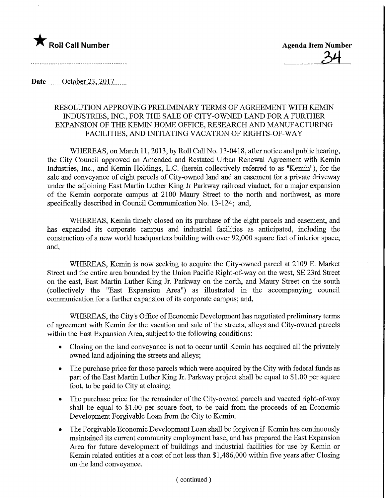

Date  $\qquad$  October 23, 2017

## RESOLUTION APPROVING PRELIMINARY TERMS OF AGREEMENT WITH KEMIN INDUSTRIES, INC., FOR THE SALE OF CITY-OWNED LAND FOR A FURTHER EXPANSION OF THE KEMW HOME OFFICE, RESEARCH AND MANUFACTURING FACILITIES, AND INITIATING VACATION OF RIGHTS-OF-WAY

WHEREAS, on March 11,2013, by Roll Call No. 13-0418, after notice and public hearing, the City Council approved an Amended and Restated Urban Renewal Agreement with Kemin Industries, Inc., and Kemin Holdings, L.C. (herein collectively referred to as "Kemin"), for the sale and conveyance of eight parcels of City-owned land and an easement for a private driveway under the adjoining East Martin Luther King Jr Parkway railroad viaduct, for a major expansion of the Kemin corporate campus at 2100 Maury Street to the north and northwest, as more specifically described in Council Communication No. 13-124; and,

WHEREAS, Kemin timely closed on its purchase of the eight parcels and easement, and has expanded its corporate campus and industrial facilities as anticipated, including the construction of a new world headquarters building with over 92,000 square feet of interior space; and,

WHEREAS, Kemin is now seeking to acquire the City-owned parcel at 2109 E. Market Street and the entire area bounded by the Union Pacific Right-of-way on the west, SE 23rd Street on the east. East Martin Luther King Jr. Parkway on the north, and Maury Street on the south (collectively the "East Expansion Area") as illustrated in the accompanying council communication for a further expansion of its corporate campus; and,

WHEREAS, the City's Office of Economic Development has negotiated preliminary terms of agreement with Kemin for the vacation and sale of the streets, alleys and City-owned parcels within the East Expansion Area, subject to the following conditions:

- Closing on the land conveyance is not to occur until Kemin has acquired all the privately owned land adjoining the streets and alleys;
- The purchase price for those parcels which were acquired by the City with federal funds as part of the East Martin Luther King Jr. Parkway project shall be equal to \$1.00 per square foot, to be paid to City at closing;
- The purchase price for the remainder of the City-owned parcels and vacated right-of-way shall be equal to  $$1.00$  per square foot, to be paid from the proceeds of an Economic Development Forgivable Loan from the City to Kemin.
- The Forgivable Economic Development Loan shall be forgiven if Kemin has continuously maintained its current community employment base, and has prepared the East Expansion Area for future development of buildings and industrial facilities for use by Kemin or Kemin related entities at a cost of not less than \$1,486,000 within five years after Closing on the land conveyance.